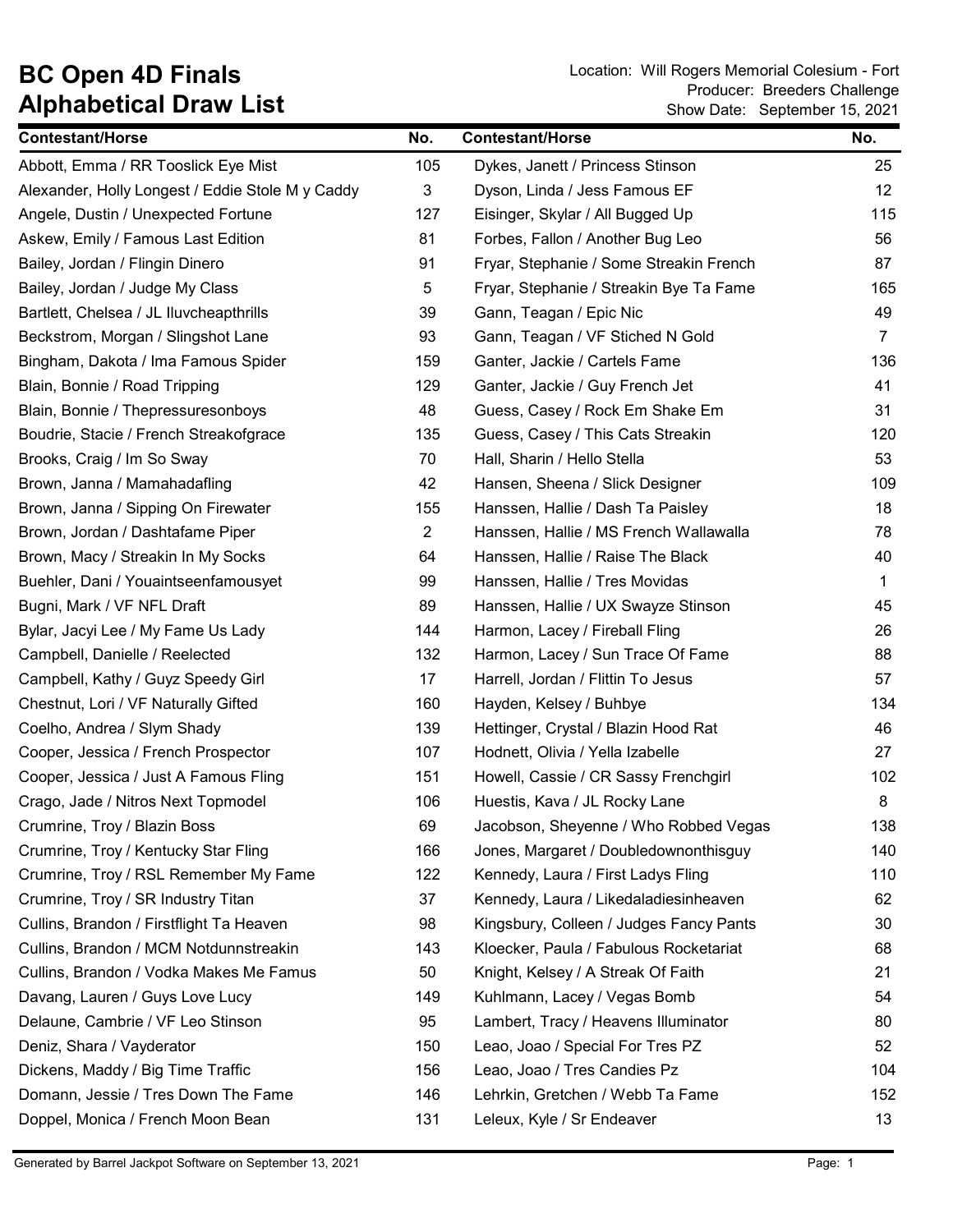## Alphabetical Draw List

BC Open 4D Finals Location: Will Rogers Memorial Colesium - Fort Show Date: September 15, 2021 Producer: Breeders Challenge

| <b>Contestant/Horse</b>                          | No. | <b>Contestant/Horse</b>                 | No.            |
|--------------------------------------------------|-----|-----------------------------------------|----------------|
| Abbott, Emma / RR Tooslick Eye Mist              | 105 | Dykes, Janett / Princess Stinson        | 25             |
| Alexander, Holly Longest / Eddie Stole M y Caddy | 3   | Dyson, Linda / Jess Famous EF           | 12             |
| Angele, Dustin / Unexpected Fortune              | 127 | Eisinger, Skylar / All Bugged Up        | 115            |
| Askew, Emily / Famous Last Edition               | 81  | Forbes, Fallon / Another Bug Leo        | 56             |
| Bailey, Jordan / Flingin Dinero                  | 91  | Fryar, Stephanie / Some Streakin French | 87             |
| Bailey, Jordan / Judge My Class                  | 5   | Fryar, Stephanie / Streakin Bye Ta Fame | 165            |
| Bartlett, Chelsea / JL Iluvcheapthrills          | 39  | Gann, Teagan / Epic Nic                 | 49             |
| Beckstrom, Morgan / Slingshot Lane               | 93  | Gann, Teagan / VF Stiched N Gold        | $\overline{7}$ |
| Bingham, Dakota / Ima Famous Spider              | 159 | Ganter, Jackie / Cartels Fame           | 136            |
| Blain, Bonnie / Road Tripping                    | 129 | Ganter, Jackie / Guy French Jet         | 41             |
| Blain, Bonnie / Thepressuresonboys               | 48  | Guess, Casey / Rock Em Shake Em         | 31             |
| Boudrie, Stacie / French Streakofgrace           | 135 | Guess, Casey / This Cats Streakin       | 120            |
| Brooks, Craig / Im So Sway                       | 70  | Hall, Sharin / Hello Stella             | 53             |
| Brown, Janna / Mamahadafling                     | 42  | Hansen, Sheena / Slick Designer         | 109            |
| Brown, Janna / Sipping On Firewater              | 155 | Hanssen, Hallie / Dash Ta Paisley       | 18             |
| Brown, Jordan / Dashtafame Piper                 | 2   | Hanssen, Hallie / MS French Wallawalla  | 78             |
| Brown, Macy / Streakin In My Socks               | 64  | Hanssen, Hallie / Raise The Black       | 40             |
| Buehler, Dani / Youaintseenfamousyet             | 99  | Hanssen, Hallie / Tres Movidas          | $\mathbf{1}$   |
| Bugni, Mark / VF NFL Draft                       | 89  | Hanssen, Hallie / UX Swayze Stinson     | 45             |
| Bylar, Jacyi Lee / My Fame Us Lady               | 144 | Harmon, Lacey / Fireball Fling          | 26             |
| Campbell, Danielle / Reelected                   | 132 | Harmon, Lacey / Sun Trace Of Fame       | 88             |
| Campbell, Kathy / Guyz Speedy Girl               | 17  | Harrell, Jordan / Flittin To Jesus      | 57             |
| Chestnut, Lori / VF Naturally Gifted             | 160 | Hayden, Kelsey / Buhbye                 | 134            |
| Coelho, Andrea / Slym Shady                      | 139 | Hettinger, Crystal / Blazin Hood Rat    | 46             |
| Cooper, Jessica / French Prospector              | 107 | Hodnett, Olivia / Yella Izabelle        | 27             |
| Cooper, Jessica / Just A Famous Fling            | 151 | Howell, Cassie / CR Sassy Frenchgirl    | 102            |
| Crago, Jade / Nitros Next Topmodel               | 106 | Huestis, Kava / JL Rocky Lane           | 8              |
| Crumrine, Troy / Blazin Boss                     | 69  | Jacobson, Sheyenne / Who Robbed Vegas   | 138            |
| Crumrine, Troy / Kentucky Star Fling             | 166 | Jones, Margaret / Doubledownonthisguy   | 140            |
| Crumrine, Troy / RSL Remember My Fame            | 122 | Kennedy, Laura / First Ladys Fling      | 110            |
| Crumrine, Troy / SR Industry Titan               | 37  | Kennedy, Laura / Likedaladiesinheaven   | 62             |
| Cullins, Brandon / Firstflight Ta Heaven         | 98  | Kingsbury, Colleen / Judges Fancy Pants | 30             |
| Cullins, Brandon / MCM Notdunnstreakin           | 143 | Kloecker, Paula / Fabulous Rocketariat  | 68             |
| Cullins, Brandon / Vodka Makes Me Famus          | 50  | Knight, Kelsey / A Streak Of Faith      | 21             |
| Davang, Lauren / Guys Love Lucy                  | 149 | Kuhlmann, Lacey / Vegas Bomb            | 54             |
| Delaune, Cambrie / VF Leo Stinson                | 95  | Lambert, Tracy / Heavens Illuminator    | 80             |
| Deniz, Shara / Vayderator                        | 150 | Leao, Joao / Special For Tres PZ        | 52             |
| Dickens, Maddy / Big Time Traffic                | 156 | Leao, Joao / Tres Candies Pz            | 104            |
| Domann, Jessie / Tres Down The Fame              | 146 | Lehrkin, Gretchen / Webb Ta Fame        | 152            |
| Doppel, Monica / French Moon Bean                | 131 | Leleux, Kyle / Sr Endeaver              | 13             |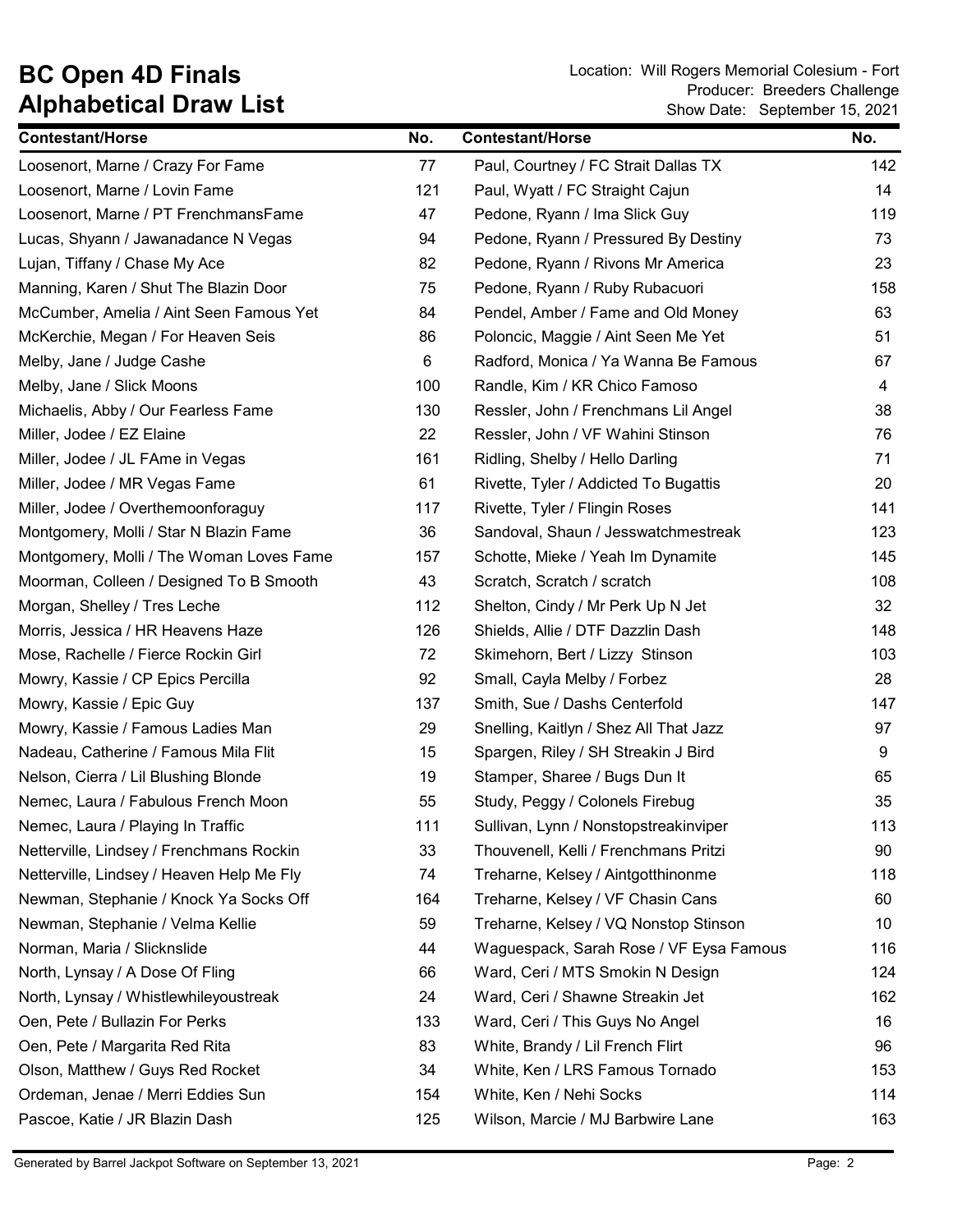## Alphabetical Draw List

BC Open 4D Finals Location: Will Rogers Memorial Colesium - Fort Show Date: September 15, 2021 Producer: Breeders Challenge

| <b>Contestant/Horse</b>                   | No. | <b>Contestant/Horse</b>                 | No. |
|-------------------------------------------|-----|-----------------------------------------|-----|
| Loosenort, Marne / Crazy For Fame         | 77  | Paul, Courtney / FC Strait Dallas TX    | 142 |
| Loosenort, Marne / Lovin Fame             | 121 | Paul, Wyatt / FC Straight Cajun         | 14  |
| Loosenort, Marne / PT FrenchmansFame      | 47  | Pedone, Ryann / Ima Slick Guy           | 119 |
| Lucas, Shyann / Jawanadance N Vegas       | 94  | Pedone, Ryann / Pressured By Destiny    | 73  |
| Lujan, Tiffany / Chase My Ace             | 82  | Pedone, Ryann / Rivons Mr America       | 23  |
| Manning, Karen / Shut The Blazin Door     | 75  | Pedone, Ryann / Ruby Rubacuori          | 158 |
| McCumber, Amelia / Aint Seen Famous Yet   | 84  | Pendel, Amber / Fame and Old Money      | 63  |
| McKerchie, Megan / For Heaven Seis        | 86  | Poloncic, Maggie / Aint Seen Me Yet     | 51  |
| Melby, Jane / Judge Cashe                 | 6   | Radford, Monica / Ya Wanna Be Famous    | 67  |
| Melby, Jane / Slick Moons                 | 100 | Randle, Kim / KR Chico Famoso           | 4   |
| Michaelis, Abby / Our Fearless Fame       | 130 | Ressler, John / Frenchmans Lil Angel    | 38  |
| Miller, Jodee / EZ Elaine                 | 22  | Ressler, John / VF Wahini Stinson       | 76  |
| Miller, Jodee / JL FAme in Vegas          | 161 | Ridling, Shelby / Hello Darling         | 71  |
| Miller, Jodee / MR Vegas Fame             | 61  | Rivette, Tyler / Addicted To Bugattis   | 20  |
| Miller, Jodee / Overthemoonforaguy        | 117 | Rivette, Tyler / Flingin Roses          | 141 |
| Montgomery, Molli / Star N Blazin Fame    | 36  | Sandoval, Shaun / Jesswatchmestreak     | 123 |
| Montgomery, Molli / The Woman Loves Fame  | 157 | Schotte, Mieke / Yeah Im Dynamite       | 145 |
| Moorman, Colleen / Designed To B Smooth   | 43  | Scratch, Scratch / scratch              | 108 |
| Morgan, Shelley / Tres Leche              | 112 | Shelton, Cindy / Mr Perk Up N Jet       | 32  |
| Morris, Jessica / HR Heavens Haze         | 126 | Shields, Allie / DTF Dazzlin Dash       | 148 |
| Mose, Rachelle / Fierce Rockin Girl       | 72  | Skimehorn, Bert / Lizzy Stinson         | 103 |
| Mowry, Kassie / CP Epics Percilla         | 92  | Small, Cayla Melby / Forbez             | 28  |
| Mowry, Kassie / Epic Guy                  | 137 | Smith, Sue / Dashs Centerfold           | 147 |
| Mowry, Kassie / Famous Ladies Man         | 29  | Snelling, Kaitlyn / Shez All That Jazz  | 97  |
| Nadeau, Catherine / Famous Mila Flit      | 15  | Spargen, Riley / SH Streakin J Bird     | 9   |
| Nelson, Cierra / Lil Blushing Blonde      | 19  | Stamper, Sharee / Bugs Dun It           | 65  |
| Nemec, Laura / Fabulous French Moon       | 55  | Study, Peggy / Colonels Firebug         | 35  |
| Nemec, Laura / Playing In Traffic         | 111 | Sullivan, Lynn / Nonstopstreakinviper   | 113 |
| Netterville, Lindsey / Frenchmans Rockin  | 33  | Thouvenell, Kelli / Frenchmans Pritzi   | 90  |
| Netterville, Lindsey / Heaven Help Me Fly | 74  | Treharne, Kelsey / Aintgotthinonme      | 118 |
| Newman, Stephanie / Knock Ya Socks Off    | 164 | Treharne, Kelsey / VF Chasin Cans       | 60  |
| Newman, Stephanie / Velma Kellie          | 59  | Treharne, Kelsey / VQ Nonstop Stinson   | 10  |
| Norman, Maria / Slicknslide               | 44  | Waguespack, Sarah Rose / VF Eysa Famous | 116 |
| North, Lynsay / A Dose Of Fling           | 66  | Ward, Ceri / MTS Smokin N Design        | 124 |
| North, Lynsay / Whistlewhileyoustreak     | 24  | Ward, Ceri / Shawne Streakin Jet        | 162 |
| Oen, Pete / Bullazin For Perks            | 133 | Ward, Ceri / This Guys No Angel         | 16  |
| Oen, Pete / Margarita Red Rita            | 83  | White, Brandy / Lil French Flirt        | 96  |
| Olson, Matthew / Guys Red Rocket          | 34  | White, Ken / LRS Famous Tornado         | 153 |
| Ordeman, Jenae / Merri Eddies Sun         | 154 | White, Ken / Nehi Socks                 | 114 |
| Pascoe, Katie / JR Blazin Dash            | 125 | Wilson, Marcie / MJ Barbwire Lane       | 163 |